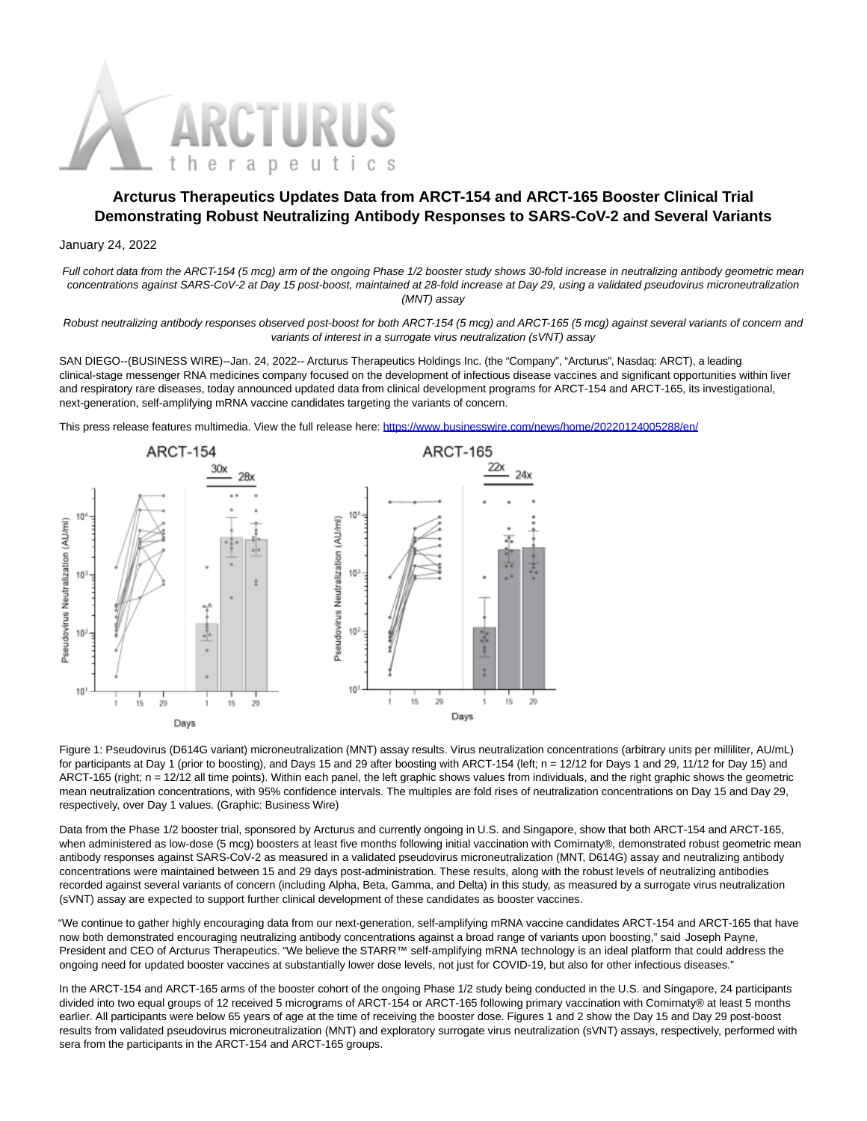

# **Arcturus Therapeutics Updates Data from ARCT-154 and ARCT-165 Booster Clinical Trial Demonstrating Robust Neutralizing Antibody Responses to SARS-CoV-2 and Several Variants**

## January 24, 2022

Full cohort data from the ARCT-154 (5 mcg) arm of the ongoing Phase 1/2 booster study shows 30-fold increase in neutralizing antibody geometric mean concentrations against SARS-CoV-2 at Day 15 post-boost, maintained at 28-fold increase at Day 29, using a validated pseudovirus microneutralization (MNT) assay

Robust neutralizing antibody responses observed post-boost for both ARCT-154 (5 mcg) and ARCT-165 (5 mcg) against several variants of concern and variants of interest in a surrogate virus neutralization (sVNT) assay

SAN DIEGO--(BUSINESS WIRE)--Jan. 24, 2022-- Arcturus Therapeutics Holdings Inc. (the "Company", "Arcturus", Nasdaq: ARCT), a leading clinical-stage messenger RNA medicines company focused on the development of infectious disease vaccines and significant opportunities within liver and respiratory rare diseases, today announced updated data from clinical development programs for ARCT-154 and ARCT-165, its investigational, next-generation, self-amplifying mRNA vaccine candidates targeting the variants of concern.

This press release features multimedia. View the full release here:<https://www.businesswire.com/news/home/20220124005288/en/>



Figure 1: Pseudovirus (D614G variant) microneutralization (MNT) assay results. Virus neutralization concentrations (arbitrary units per milliliter, AU/mL) for participants at Day 1 (prior to boosting), and Days 15 and 29 after boosting with ARCT-154 (left; n = 12/12 for Days 1 and 29, 11/12 for Day 15) and ARCT-165 (right; n = 12/12 all time points). Within each panel, the left graphic shows values from individuals, and the right graphic shows the geometric mean neutralization concentrations, with 95% confidence intervals. The multiples are fold rises of neutralization concentrations on Day 15 and Day 29, respectively, over Day 1 values. (Graphic: Business Wire)

Data from the Phase 1/2 booster trial, sponsored by Arcturus and currently ongoing in U.S. and Singapore, show that both ARCT-154 and ARCT-165, when administered as low-dose (5 mcq) boosters at least five months following initial vaccination with Comirnaty®, demonstrated robust geometric mean antibody responses against SARS-CoV-2 as measured in a validated pseudovirus microneutralization (MNT, D614G) assay and neutralizing antibody concentrations were maintained between 15 and 29 days post-administration. These results, along with the robust levels of neutralizing antibodies recorded against several variants of concern (including Alpha, Beta, Gamma, and Delta) in this study, as measured by a surrogate virus neutralization (sVNT) assay are expected to support further clinical development of these candidates as booster vaccines.

"We continue to gather highly encouraging data from our next-generation, self-amplifying mRNA vaccine candidates ARCT-154 and ARCT-165 that have now both demonstrated encouraging neutralizing antibody concentrations against a broad range of variants upon boosting," said Joseph Payne, President and CEO of Arcturus Therapeutics. "We believe the STARR™ self-amplifying mRNA technology is an ideal platform that could address the ongoing need for updated booster vaccines at substantially lower dose levels, not just for COVID-19, but also for other infectious diseases."

In the ARCT-154 and ARCT-165 arms of the booster cohort of the ongoing Phase 1/2 study being conducted in the U.S. and Singapore, 24 participants divided into two equal groups of 12 received 5 micrograms of ARCT-154 or ARCT-165 following primary vaccination with Comirnaty® at least 5 months earlier. All participants were below 65 years of age at the time of receiving the booster dose. Figures 1 and 2 show the Day 15 and Day 29 post-boost results from validated pseudovirus microneutralization (MNT) and exploratory surrogate virus neutralization (sVNT) assays, respectively, performed with sera from the participants in the ARCT-154 and ARCT-165 groups.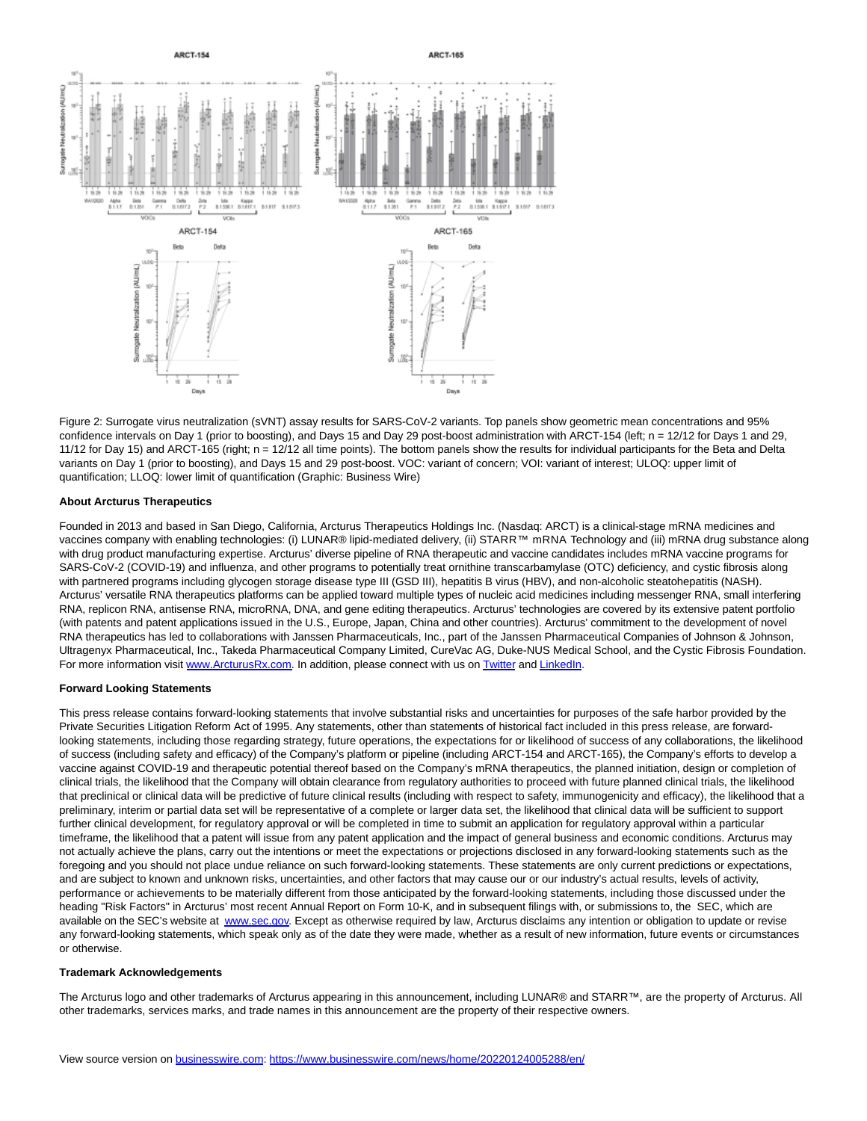

Figure 2: Surrogate virus neutralization (sVNT) assay results for SARS-CoV-2 variants. Top panels show geometric mean concentrations and 95% confidence intervals on Day 1 (prior to boosting), and Days 15 and Day 29 post-boost administration with ARCT-154 (left; n = 12/12 for Days 1 and 29, 11/12 for Day 15) and ARCT-165 (right; n = 12/12 all time points). The bottom panels show the results for individual participants for the Beta and Delta variants on Day 1 (prior to boosting), and Days 15 and 29 post-boost. VOC: variant of concern; VOI: variant of interest; ULOQ: upper limit of quantification; LLOQ: lower limit of quantification (Graphic: Business Wire)

#### **About Arcturus Therapeutics**

Founded in 2013 and based in San Diego, California, Arcturus Therapeutics Holdings Inc. (Nasdaq: ARCT) is a clinical-stage mRNA medicines and vaccines company with enabling technologies: (i) LUNAR® lipid-mediated delivery, (ii) STARR™ mRNA Technology and (iii) mRNA drug substance along with drug product manufacturing expertise. Arcturus' diverse pipeline of RNA therapeutic and vaccine candidates includes mRNA vaccine programs for SARS-CoV-2 (COVID-19) and influenza, and other programs to potentially treat ornithine transcarbamylase (OTC) deficiency, and cystic fibrosis along with partnered programs including glycogen storage disease type III (GSD III), hepatitis B virus (HBV), and non-alcoholic steatohepatitis (NASH). Arcturus' versatile RNA therapeutics platforms can be applied toward multiple types of nucleic acid medicines including messenger RNA, small interfering RNA, replicon RNA, antisense RNA, microRNA, DNA, and gene editing therapeutics. Arcturus' technologies are covered by its extensive patent portfolio (with patents and patent applications issued in the U.S., Europe, Japan, China and other countries). Arcturus' commitment to the development of novel RNA therapeutics has led to collaborations with Janssen Pharmaceuticals, Inc., part of the Janssen Pharmaceutical Companies of Johnson & Johnson, Ultragenyx Pharmaceutical, Inc., Takeda Pharmaceutical Company Limited, CureVac AG, Duke-NUS Medical School, and the Cystic Fibrosis Foundation. For more information visit [www.ArcturusRx.com.](https://cts.businesswire.com/ct/CT?id=smartlink&url=http%3A%2F%2Fwww.ArcturusRx.com&esheet=52567210&newsitemid=20220124005288&lan=en-US&anchor=www.ArcturusRx.com&index=1&md5=eff3e1c9b2f907419ca7fc2429a3842f) In addition, please connect with us o[n Twitter a](https://cts.businesswire.com/ct/CT?id=smartlink&url=https%3A%2F%2Ftwitter.com%2FArcturusRx&esheet=52567210&newsitemid=20220124005288&lan=en-US&anchor=Twitter&index=2&md5=06d590f7d7770cbe164cbcc8096a8c9d)n[d LinkedIn.](https://cts.businesswire.com/ct/CT?id=smartlink&url=https%3A%2F%2Fwww.linkedin.com%2Fcompany%2Farcturus-therapeutics&esheet=52567210&newsitemid=20220124005288&lan=en-US&anchor=LinkedIn&index=3&md5=8966ba9d854d134113ba94ae51b12a7e)

## **Forward Looking Statements**

This press release contains forward-looking statements that involve substantial risks and uncertainties for purposes of the safe harbor provided by the Private Securities Litigation Reform Act of 1995. Any statements, other than statements of historical fact included in this press release, are forwardlooking statements, including those regarding strategy, future operations, the expectations for or likelihood of success of any collaborations, the likelihood of success (including safety and efficacy) of the Company's platform or pipeline (including ARCT-154 and ARCT-165), the Company's efforts to develop a vaccine against COVID-19 and therapeutic potential thereof based on the Company's mRNA therapeutics, the planned initiation, design or completion of clinical trials, the likelihood that the Company will obtain clearance from regulatory authorities to proceed with future planned clinical trials, the likelihood that preclinical or clinical data will be predictive of future clinical results (including with respect to safety, immunogenicity and efficacy), the likelihood that a preliminary, interim or partial data set will be representative of a complete or larger data set, the likelihood that clinical data will be sufficient to support further clinical development, for regulatory approval or will be completed in time to submit an application for regulatory approval within a particular timeframe, the likelihood that a patent will issue from any patent application and the impact of general business and economic conditions. Arcturus may not actually achieve the plans, carry out the intentions or meet the expectations or projections disclosed in any forward-looking statements such as the foregoing and you should not place undue reliance on such forward-looking statements. These statements are only current predictions or expectations, and are subject to known and unknown risks, uncertainties, and other factors that may cause our or our industry's actual results, levels of activity, performance or achievements to be materially different from those anticipated by the forward-looking statements, including those discussed under the heading "Risk Factors" in Arcturus' most recent Annual Report on Form 10-K, and in subsequent filings with, or submissions to, the SEC, which are available on the SEC's website at [www.sec.gov.](https://cts.businesswire.com/ct/CT?id=smartlink&url=http%3A%2F%2Fwww.sec.gov&esheet=52567210&newsitemid=20220124005288&lan=en-US&anchor=www.sec.gov&index=4&md5=49257d6cb4fc3cf6396cce77695b5a3f) Except as otherwise required by law, Arcturus disclaims any intention or obligation to update or revise any forward-looking statements, which speak only as of the date they were made, whether as a result of new information, future events or circumstances or otherwise.

#### **Trademark Acknowledgements**

The Arcturus logo and other trademarks of Arcturus appearing in this announcement, including LUNAR® and STARR™, are the property of Arcturus. All other trademarks, services marks, and trade names in this announcement are the property of their respective owners.